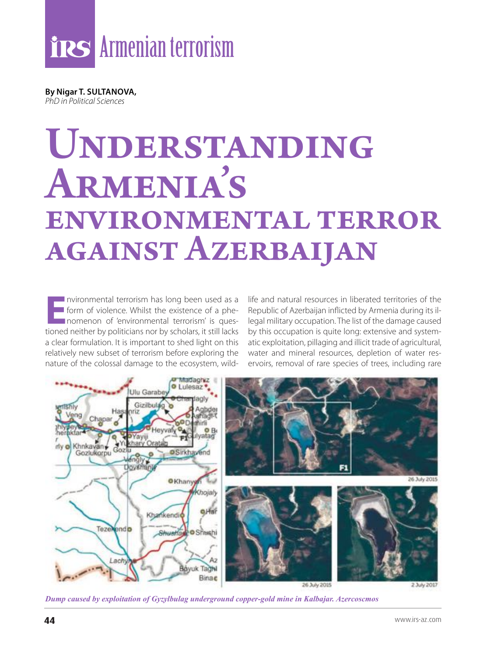**By Nigar T. SULTANOVA,** *PhD in Political Sciences*

# UNDERSTANDING Armenia's environmental terror against Azerbaijan

**EXECUTE INTERNATION IN THE INTERNATIONAL TERROR ISLAM**<br> **E** form of violence. Whilst the existence of a phe-<br>
nomenon of 'environmental terrorism' is ques-<br>
tioned neither by politicians nor by scholars it still lacks form of violence. Whilst the existence of a phetioned neither by politicians nor by scholars, it still lacks a clear formulation. It is important to shed light on this relatively new subset of terrorism before exploring the nature of the colossal damage to the ecosystem, wild-

life and natural resources in liberated territories of the Republic of Azerbaijan inflicted by Armenia during its illegal military occupation. The list of the damage caused by this occupation is quite long: extensive and systematic exploitation, pillaging and illicit trade of agricultural, water and mineral resources, depletion of water reservoirs, removal of rare species of trees, including rare



*Dump caused by exploitation of Gyzylbulag underground copper-gold mine in Kalbajar. Azercoscmos*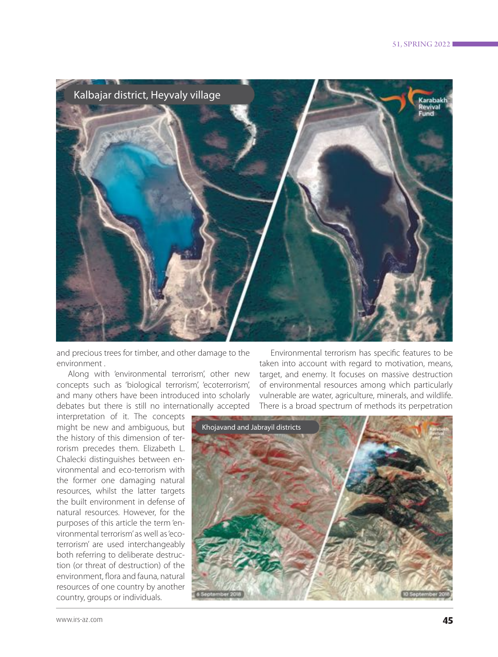

and precious trees for timber, and other damage to the environment .

Along with 'environmental terrorism', other new concepts such as 'biological terrorism', 'ecoterrorism', and many others have been introduced into scholarly debates but there is still no internationally accepted

interpretation of it. The concepts might be new and ambiguous, but the history of this dimension of terrorism precedes them. Elizabeth L. Chalecki distinguishes between environmental and eco-terrorism with the former one damaging natural resources, whilst the latter targets the built environment in defense of natural resources. However, for the purposes of this article the term 'environmental terrorism' as well as 'ecoterrorism' are used interchangeably both referring to deliberate destruction (or threat of destruction) of the environment, flora and fauna, natural resources of one country by another country, groups or individuals.

Environmental terrorism has specific features to be taken into account with regard to motivation, means, target, and enemy. It focuses on massive destruction of environmental resources among which particularly vulnerable are water, agriculture, minerals, and wildlife. There is a broad spectrum of methods its perpetration

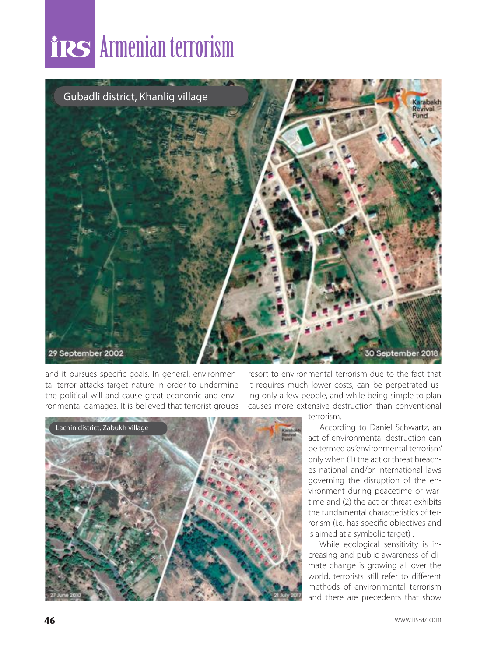### Armenian terrorism



and it pursues specific goals. In general, environmental terror attacks target nature in order to undermine the political will and cause great economic and environmental damages. It is believed that terrorist groups resort to environmental terrorism due to the fact that it requires much lower costs, can be perpetrated using only a few people, and while being simple to plan causes more extensive destruction than conventional



terrorism.

According to Daniel Schwartz, an act of environmental destruction can be termed as 'environmental terrorism' only when (1) the act or threat breaches national and/or international laws governing the disruption of the environment during peacetime or wartime and (2) the act or threat exhibits the fundamental characteristics of terrorism (i.e. has specific objectives and is aimed at a symbolic target) .

While ecological sensitivity is increasing and public awareness of climate change is growing all over the world, terrorists still refer to different methods of environmental terrorism and there are precedents that show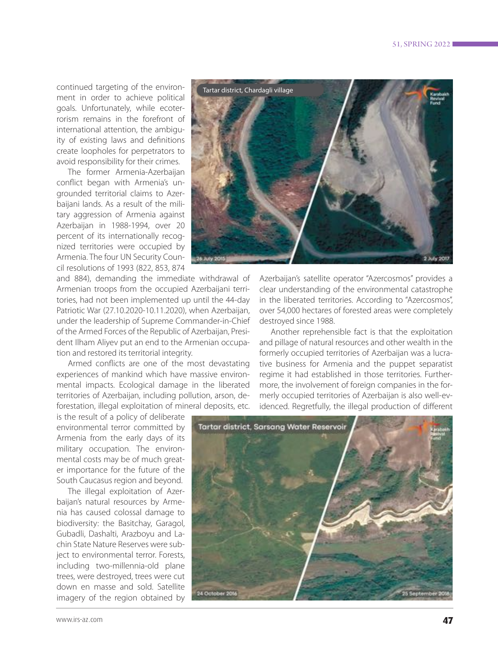continued targeting of the environment in order to achieve political goals. Unfortunately, while ecoterrorism remains in the forefront of international attention, the ambiguity of existing laws and definitions create loopholes for perpetrators to avoid responsibility for their crimes.

The former Armenia-Azerbaijan conflict began with Armenia's ungrounded territorial claims to Azerbaijani lands. As a result of the military aggression of Armenia against Azerbaijan in 1988-1994, over 20 percent of its internationally recognized territories were occupied by Armenia. The four UN Security Council resolutions of 1993 (822, 853, 874

and 884), demanding the immediate withdrawal of Armenian troops from the occupied Azerbaijani territories, had not been implemented up until the 44-day Patriotic War (27.10.2020-10.11.2020), when Azerbaijan, under the leadership of Supreme Commander-in-Chief of the Armed Forces of the Republic of Azerbaijan, President Ilham Aliyev put an end to the Armenian occupation and restored its territorial integrity.

Armed conflicts are one of the most devastating experiences of mankind which have massive environmental impacts. Ecological damage in the liberated territories of Azerbaijan, including pollution, arson, deforestation, illegal exploitation of mineral deposits, etc.

is the result of a policy of deliberate environmental terror committed by Armenia from the early days of its military occupation. The environmental costs may be of much greater importance for the future of the South Caucasus region and beyond.

The illegal exploitation of Azerbaijan's natural resources by Armenia has caused colossal damage to biodiversity: the Basitchay, Garagol, Gubadli, Dashalti, Arazboyu and Lachin State Nature Reserves were subject to environmental terror. Forests, including two-millennia-old plane trees, were destroyed, trees were cut down en masse and sold. Satellite imagery of the region obtained by



Azerbaijan's satellite operator "Azercosmos" provides a clear understanding of the environmental catastrophe in the liberated territories. According to "Azercosmos", over 54,000 hectares of forested areas were completely destroyed since 1988.

Another reprehensible fact is that the exploitation and pillage of natural resources and other wealth in the formerly occupied territories of Azerbaijan was a lucrative business for Armenia and the puppet separatist regime it had established in those territories. Furthermore, the involvement of foreign companies in the formerly occupied territories of Azerbaijan is also well-evidenced. Regretfully, the illegal production of different



www.irs-az.com **47**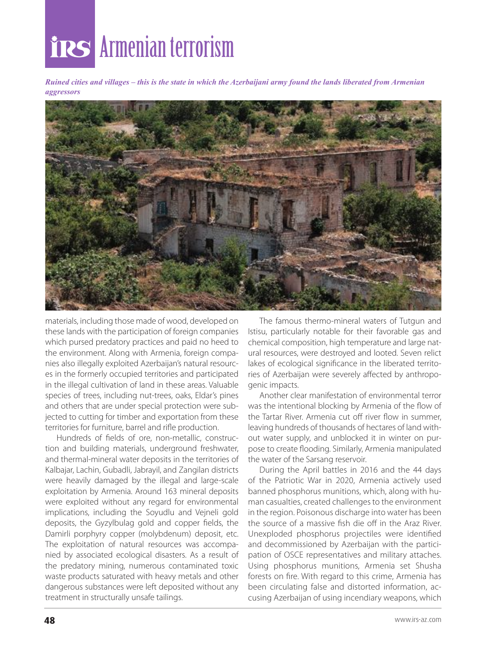# Armenian terrorism

*Ruined cities and villages – this is the state in which the Azerbaijani army found the lands liberated from Armenian aggressors*



materials, including those made of wood, developed on these lands with the participation of foreign companies which pursed predatory practices and paid no heed to the environment. Along with Armenia, foreign companies also illegally exploited Azerbaijan's natural resources in the formerly occupied territories and participated in the illegal cultivation of land in these areas. Valuable species of trees, including nut-trees, oaks, Eldar's pines and others that are under special protection were subjected to cutting for timber and exportation from these territories for furniture, barrel and rifle production.

Hundreds of fields of ore, non-metallic, construction and building materials, underground freshwater, and thermal-mineral water deposits in the territories of Kalbajar, Lachin, Gubadli, Jabrayil, and Zangilan districts were heavily damaged by the illegal and large-scale exploitation by Armenia. Around 163 mineral deposits were exploited without any regard for environmental implications, including the Soyudlu and Vejneli gold deposits, the Gyzylbulag gold and copper fields, the Damirli porphyry copper (molybdenum) deposit, etc. The exploitation of natural resources was accompanied by associated ecological disasters. As a result of the predatory mining, numerous contaminated toxic waste products saturated with heavy metals and other dangerous substances were left deposited without any treatment in structurally unsafe tailings.

The famous thermo-mineral waters of Tutgun and Istisu, particularly notable for their favorable gas and chemical composition, high temperature and large natural resources, were destroyed and looted. Seven relict lakes of ecological significance in the liberated territories of Azerbaijan were severely affected by anthropogenic impacts.

Another clear manifestation of environmental terror was the intentional blocking by Armenia of the flow of the Tartar River. Armenia cut off river flow in summer, leaving hundreds of thousands of hectares of land without water supply, and unblocked it in winter on purpose to create flooding. Similarly, Armenia manipulated the water of the Sarsang reservoir.

During the April battles in 2016 and the 44 days of the Patriotic War in 2020, Armenia actively used banned phosphorus munitions, which, along with human casualties, created challenges to the environment in the region. Poisonous discharge into water has been the source of a massive fish die off in the Araz River. Unexploded phosphorus projectiles were identified and decommissioned by Azerbaijan with the participation of OSCE representatives and military attaches. Using phosphorus munitions, Armenia set Shusha forests on fire. With regard to this crime, Armenia has been circulating false and distorted information, accusing Azerbaijan of using incendiary weapons, which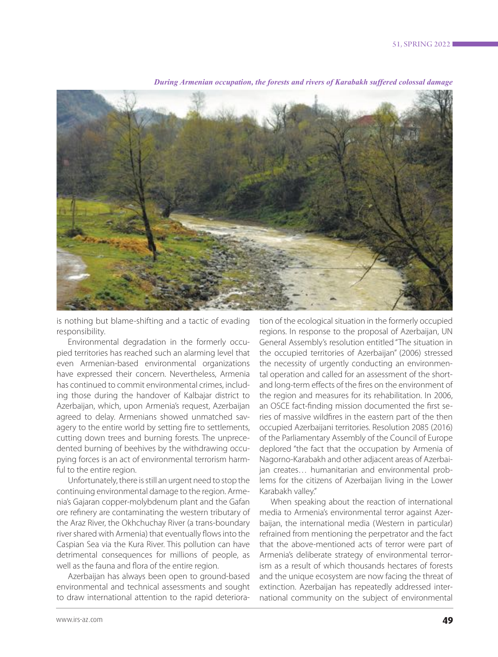

*During Armenian occupation, the forests and rivers of Karabakh suffered colossal damage*

is nothing but blame-shifting and a tactic of evading responsibility.

Environmental degradation in the formerly occupied territories has reached such an alarming level that even Armenian-based environmental organizations have expressed their concern. Nevertheless, Armenia has continued to commit environmental crimes, including those during the handover of Kalbajar district to Azerbaijan, which, upon Armenia's request, Azerbaijan agreed to delay. Armenians showed unmatched savagery to the entire world by setting fire to settlements, cutting down trees and burning forests. The unprecedented burning of beehives by the withdrawing occupying forces is an act of environmental terrorism harmful to the entire region.

Unfortunately, there is still an urgent need to stop the continuing environmental damage to the region. Armenia's Gajaran copper-molybdenum plant and the Gafan ore refinery are contaminating the western tributary of the Araz River, the Okhchuchay River (a trans-boundary river shared with Armenia) that eventually flows into the Caspian Sea via the Kura River. This pollution can have detrimental consequences for millions of people, as well as the fauna and flora of the entire region.

Azerbaijan has always been open to ground-based environmental and technical assessments and sought to draw international attention to the rapid deterioration of the ecological situation in the formerly occupied regions. In response to the proposal of Azerbaijan, UN General Assembly's resolution entitled "The situation in the occupied territories of Azerbaijan" (2006) stressed the necessity of urgently conducting an environmental operation and called for an assessment of the shortand long-term effects of the fires on the environment of the region and measures for its rehabilitation. In 2006, an OSCE fact-finding mission documented the first series of massive wildfires in the eastern part of the then occupied Azerbaijani territories. Resolution 2085 (2016) of the Parliamentary Assembly of the Council of Europe deplored "the fact that the occupation by Armenia of Nagorno-Karabakh and other adjacent areas of Azerbaijan creates… humanitarian and environmental problems for the citizens of Azerbaijan living in the Lower Karabakh valley."

When speaking about the reaction of international media to Armenia's environmental terror against Azerbaijan, the international media (Western in particular) refrained from mentioning the perpetrator and the fact that the above-mentioned acts of terror were part of Armenia's deliberate strategy of environmental terrorism as a result of which thousands hectares of forests and the unique ecosystem are now facing the threat of extinction. Azerbaijan has repeatedly addressed international community on the subject of environmental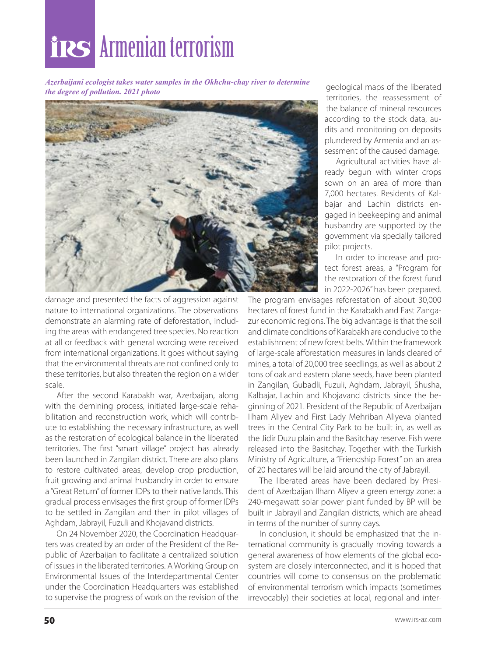# Armenian terrorism

*Azerbaijani ecologist takes water samples in the Okhchu-chay river to determine the degree of pollution. 2021 photo*



damage and presented the facts of aggression against nature to international organizations. The observations demonstrate an alarming rate of deforestation, including the areas with endangered tree species. No reaction at all or feedback with general wording were received from international organizations. It goes without saying that the environmental threats are not confined only to these territories, but also threaten the region on a wider scale.

After the second Karabakh war, Azerbaijan, along with the demining process, initiated large-scale rehabilitation and reconstruction work, which will contribute to establishing the necessary infrastructure, as well as the restoration of ecological balance in the liberated territories. The first "smart village" project has already been launched in Zangilan district. There are also plans to restore cultivated areas, develop crop production, fruit growing and animal husbandry in order to ensure a "Great Return" of former IDPs to their native lands. This gradual process envisages the first group of former IDPs to be settled in Zangilan and then in pilot villages of Aghdam, Jabrayil, Fuzuli and Khojavand districts.

On 24 November 2020, the Coordination Headquarters was created by an order of the President of the Republic of Azerbaijan to facilitate a centralized solution of issues in the liberated territories. A Working Group on Environmental Issues of the Interdepartmental Center under the Coordination Headquarters was established to supervise the progress of work on the revision of the

geological maps of the liberated territories, the reassessment of the balance of mineral resources according to the stock data, audits and monitoring on deposits plundered by Armenia and an assessment of the caused damage.

Agricultural activities have already begun with winter crops sown on an area of more than 7,000 hectares. Residents of Kalbajar and Lachin districts engaged in beekeeping and animal husbandry are supported by the government via specially tailored pilot projects.

In order to increase and protect forest areas, a "Program for the restoration of the forest fund in 2022-2026" has been prepared.

The program envisages reforestation of about 30,000 hectares of forest fund in the Karabakh and East Zangazur economic regions. The big advantage is that the soil and climate conditions of Karabakh are conducive to the establishment of new forest belts. Within the framework of large-scale afforestation measures in lands cleared of mines, a total of 20,000 tree seedlings, as well as about 2 tons of oak and eastern plane seeds, have been planted in Zangilan, Gubadli, Fuzuli, Aghdam, Jabrayil, Shusha, Kalbajar, Lachin and Khojavand districts since the beginning of 2021. President of the Republic of Azerbaijan Ilham Aliyev and First Lady Mehriban Aliyeva planted trees in the Central City Park to be built in, as well as the Jidir Duzu plain and the Basitchay reserve. Fish were released into the Basitchay. Together with the Turkish Ministry of Agriculture, a "Friendship Forest" on an area of 20 hectares will be laid around the city of Jabrayil.

The liberated areas have been declared by President of Azerbaijan Ilham Aliyev a green energy zone: a 240-megawatt solar power plant funded by BP will be built in Jabrayil and Zangilan districts, which are ahead in terms of the number of sunny days.

In conclusion, it should be emphasized that the international community is gradually moving towards a general awareness of how elements of the global ecosystem are closely interconnected, and it is hoped that countries will come to consensus on the problematic of environmental terrorism which impacts (sometimes irrevocably) their societies at local, regional and inter-